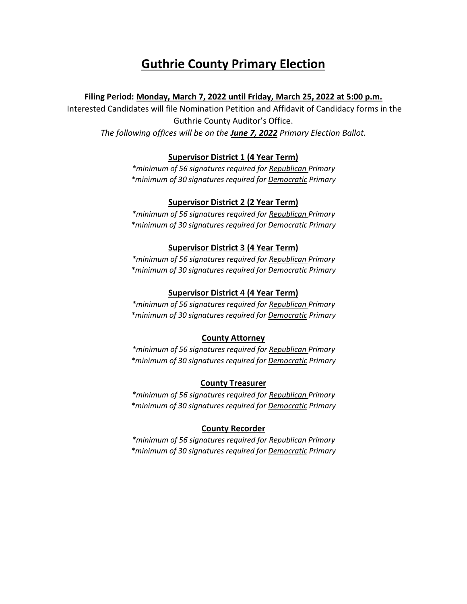# **Guthrie County Primary Election**

## **Filing Period: Monday, March 7, 2022 until Friday, March 25, 2022 at 5:00 p.m.**

Interested Candidates will file Nomination Petition and Affidavit of Candidacy forms in the Guthrie County Auditor's Office. *The following offices will be on the June 7, 2022 Primary Election Ballot.* 

## **Supervisor District 1 (4 Year Term)**

*\*minimum of 56 signatures required for Republican Primary \*minimum of 30 signatures required for Democratic Primary*

## **Supervisor District 2 (2 Year Term)**

*\*minimum of 56 signatures required for Republican Primary \*minimum of 30 signatures required for Democratic Primary*

### **Supervisor District 3 (4 Year Term)**

*\*minimum of 56 signatures required for Republican Primary \*minimum of 30 signatures required for Democratic Primary*

## **Supervisor District 4 (4 Year Term)**

*\*minimum of 56 signatures required for Republican Primary \*minimum of 30 signatures required for Democratic Primary*

#### **County Attorney**

*\*minimum of 56 signatures required for Republican Primary \*minimum of 30 signatures required for Democratic Primary*

### **County Treasurer**

*\*minimum of 56 signatures required for Republican Primary \*minimum of 30 signatures required for Democratic Primary*

### **County Recorder**

*\*minimum of 56 signatures required for Republican Primary \*minimum of 30 signatures required for Democratic Primary*